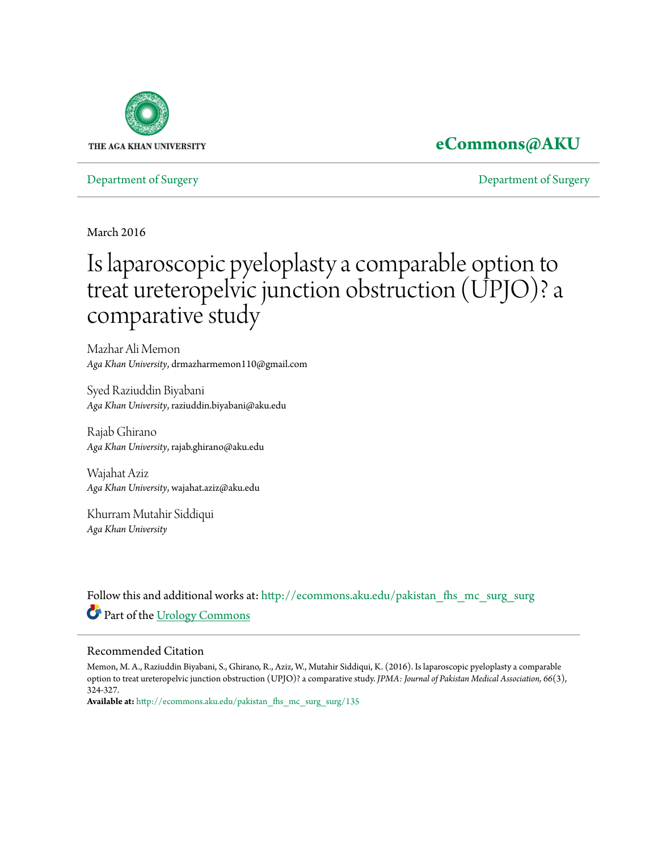

## **[eCommons@AKU](http://ecommons.aku.edu?utm_source=ecommons.aku.edu%2Fpakistan_fhs_mc_surg_surg%2F135&utm_medium=PDF&utm_campaign=PDFCoverPages)**

[Department of Surgery](http://ecommons.aku.edu/pakistan_fhs_mc_surg_surg?utm_source=ecommons.aku.edu%2Fpakistan_fhs_mc_surg_surg%2F135&utm_medium=PDF&utm_campaign=PDFCoverPages) [Department of Surgery](http://ecommons.aku.edu/pakistan_fhs_mc_surg?utm_source=ecommons.aku.edu%2Fpakistan_fhs_mc_surg_surg%2F135&utm_medium=PDF&utm_campaign=PDFCoverPages)

March 2016

# Is laparoscopic pyeloplasty a comparable option to treat ureteropelvic junction obstruction (UPJO)? a comparative study

Mazhar Ali Memon *Aga Khan University*, drmazharmemon110@gmail.com

Syed Raziuddin Biyabani *Aga Khan University*, raziuddin.biyabani@aku.edu

Rajab Ghirano *Aga Khan University*, rajab.ghirano@aku.edu

Wajahat Aziz *Aga Khan University*, wajahat.aziz@aku.edu

Khurram Mutahir Siddiqui *Aga Khan University*

Follow this and additional works at: [http://ecommons.aku.edu/pakistan\\_fhs\\_mc\\_surg\\_surg](http://ecommons.aku.edu/pakistan_fhs_mc_surg_surg?utm_source=ecommons.aku.edu%2Fpakistan_fhs_mc_surg_surg%2F135&utm_medium=PDF&utm_campaign=PDFCoverPages) Part of the [Urology Commons](http://network.bepress.com/hgg/discipline/707?utm_source=ecommons.aku.edu%2Fpakistan_fhs_mc_surg_surg%2F135&utm_medium=PDF&utm_campaign=PDFCoverPages)

#### Recommended Citation

Memon, M. A., Raziuddin Biyabani, S., Ghirano, R., Aziz, W., Mutahir Siddiqui, K. (2016). Is laparoscopic pyeloplasty a comparable option to treat ureteropelvic junction obstruction (UPJO)? a comparative study. *JPMA: Journal of Pakistan Medical Association, 66*(3), 324-327.

**Available at:** [http://ecommons.aku.edu/pakistan\\_fhs\\_mc\\_surg\\_surg/135](http://ecommons.aku.edu/pakistan_fhs_mc_surg_surg/135)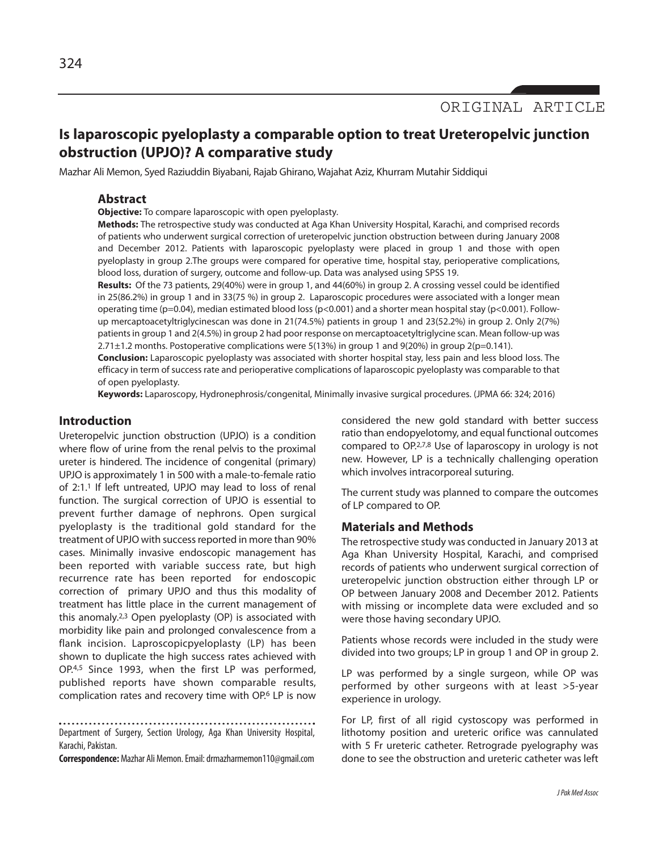### **Is laparoscopic pyeloplasty a comparable option to treat Ureteropelvic junction obstruction (UPJO)? A comparative study**

Mazhar Ali Memon, Syed Raziuddin Biyabani, Rajab Ghirano, Wajahat Aziz, Khurram Mutahir Siddiqui

#### **Abstract**

**Objective:** To compare laparoscopic with open pyeloplasty.

**Methods:** The retrospective study was conducted at Aga Khan University Hospital, Karachi, and comprised records of patients who underwent surgical correction of ureteropelvic junction obstruction between during January 2008 and December 2012. Patients with laparoscopic pyeloplasty were placed in group 1 and those with open pyeloplasty in group 2.The groups were compared for operative time, hospital stay, perioperative complications, blood loss, duration of surgery, outcome and follow-up. Data was analysed using SPSS 19.

**Results:** Of the 73 patients, 29(40%) were in group 1, and 44(60%) in group 2. A crossing vessel could be identified in 25(86.2%) in group 1 and in 33(75 %) in group 2. Laparoscopic procedures were associated with a longer mean operating time (p=0.04), median estimated blood loss (p<0.001) and a shorter mean hospital stay (p<0.001). Followup mercaptoacetyltriglycinescan was done in 21(74.5%) patients in group 1 and 23(52.2%) in group 2. Only 2(7%) patientsin group 1 and 2(4.5%) in group 2 had poor response on mercaptoacetyltriglycine scan. Mean follow-up was 2.71±1.2 months. Postoperative complications were 5(13%) in group 1 and 9(20%) in group 2(p=0.141).

**Conclusion:** Laparoscopic pyeloplasty was associated with shorter hospital stay, less pain and less blood loss. The efficacy in term of success rate and perioperative complications of laparoscopic pyeloplasty was comparable to that of open pyeloplasty.

**Keywords:** Laparoscopy, Hydronephrosis/congenital, Minimally invasive surgical procedures. (JPMA 66: 324; 2016)

#### **Introduction**

Ureteropelvic junction obstruction (UPJO) is a condition where flow of urine from the renal pelvis to the proximal ureter is hindered. The incidence of congenital (primary) UPJO is approximately 1 in 500 with a male-to-female ratio of 2:1. <sup>1</sup> If left untreated, UPJO may lead to loss of renal function. The surgical correction of UPJO is essential to prevent further damage of nephrons. Open surgical pyeloplasty is the traditional gold standard for the treatment of UPJO with success reported in more than 90% cases. Minimally invasive endoscopic management has been reported with variable success rate, but high recurrence rate has been reported for endoscopic correction of primary UPJO and thus this modality of treatment has little place in the current management of this anomaly.<sup>2,3</sup> Open pyeloplasty (OP) is associated with morbidity like pain and prolonged convalescence from a flank incision. Laproscopicpyeloplasty (LP) has been shown to duplicate the high success rates achieved with OP. 4,5 Since 1993, when the first LP was performed, published reports have shown comparable results, complication rates and recovery time with OP.<sup>6</sup> LP is now

Department of Surgery, Section Urology, Aga Khan University Hospital, Karachi, Pakistan.

**Correspondence:** Mazhar Ali Memon. Email: drmazharmemon110@gmail.com

considered the new gold standard with better success ratio than endopyelotomy, and equal functional outcomes compared to OP. 2,7,8 Use of laparoscopy in urology is not new. However, LP is a technically challenging operation which involves intracorporeal suturing.

The current study was planned to compare the outcomes of LP compared to OP.

#### **Materials and Methods**

The retrospective study was conducted in January 2013 at Aga Khan University Hospital, Karachi, and comprised records of patients who underwent surgical correction of ureteropelvic junction obstruction either through LP or OP between January 2008 and December 2012. Patients with missing or incomplete data were excluded and so were those having secondary UPJO.

Patients whose records were included in the study were divided into two groups; LP in group 1 and OP in group 2.

LP was performed by a single surgeon, while OP was performed by other surgeons with at least >5-year experience in urology.

For LP, first of all rigid cystoscopy was performed in lithotomy position and ureteric orifice was cannulated with 5 Fr ureteric catheter. Retrograde pyelography was done to see the obstruction and ureteric catheter was left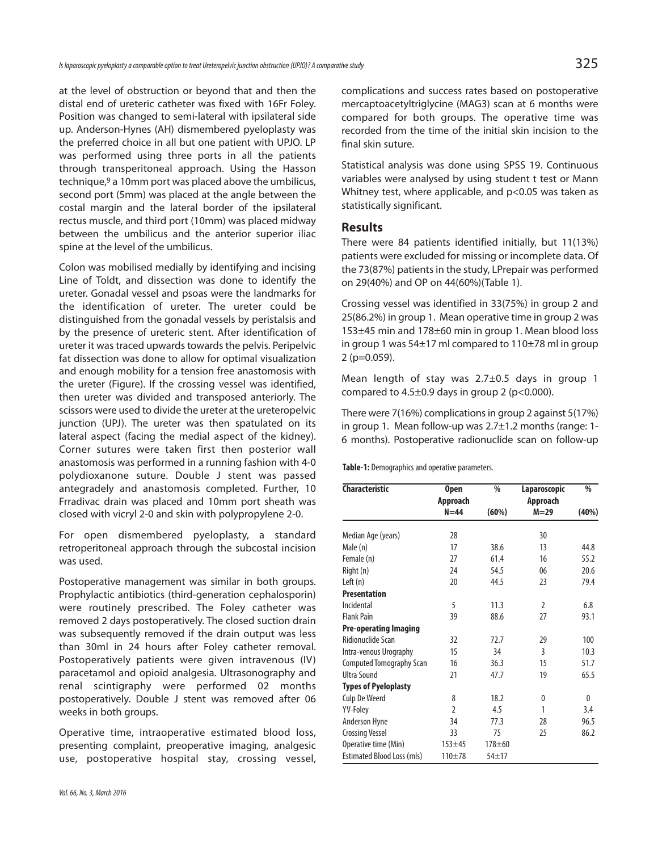at the level of obstruction or beyond that and then the distal end of ureteric catheter was fixed with 16Fr Foley. Position was changed to semi-lateral with ipsilateral side up. Anderson-Hynes (AH) dismembered pyeloplasty was the preferred choice in all but one patient with UPJO. LP was performed using three ports in all the patients through transperitoneal approach. Using the Hasson technique, <sup>9</sup> a 10mm port was placed above the umbilicus, second port (5mm) was placed at the angle between the costal margin and the lateral border of the ipsilateral rectus muscle, and third port (10mm) was placed midway between the umbilicus and the anterior superior iliac spine at the level of the umbilicus.

Colon was mobilised medially by identifying and incising Line of Toldt, and dissection was done to identify the ureter. Gonadal vessel and psoas were the landmarks for the identification of ureter. The ureter could be distinguished from the gonadal vessels by peristalsis and by the presence of ureteric stent. After identification of ureter it was traced upwards towards the pelvis. Peripelvic fat dissection was done to allow for optimal visualization and enough mobility for a tension free anastomosis with the ureter (Figure). If the crossing vessel was identified, then ureter was divided and transposed anteriorly. The scissors were used to divide the ureter at the ureteropelvic junction (UPJ). The ureter was then spatulated on its lateral aspect (facing the medial aspect of the kidney). Corner sutures were taken first then posterior wall anastomosis was performed in a running fashion with 4-0 polydioxanone suture. Double J stent was passed antegradely and anastomosis completed. Further, 10 Frradivac drain was placed and 10mm port sheath was closed with vicryl 2-0 and skin with polypropylene 2-0.

For open dismembered pyeloplasty, a standard retroperitoneal approach through the subcostal incision was used.

Postoperative management was similar in both groups. Prophylactic antibiotics (third-generation cephalosporin) were routinely prescribed. The Foley catheter was removed 2 days postoperatively. The closed suction drain was subsequently removed if the drain output was less than 30ml in 24 hours after Foley catheter removal. Postoperatively patients were given intravenous (IV) paracetamol and opioid analgesia. Ultrasonography and renal scintigraphy were performed 02 months postoperatively. Double J stent was removed after 06 weeks in both groups.

Operative time, intraoperative estimated blood loss, presenting complaint, preoperative imaging, analgesic use, postoperative hospital stay, crossing vessel,

*Vol.66, No.3, March2016*

complications and success rates based on postoperative mercaptoacetyltriglycine (MAG3) scan at 6 months were compared for both groups. The operative time was recorded from the time of the initial skin incision to the final skin suture.

Statistical analysis was done using SPSS 19. Continuous variables were analysed by using student t test or Mann Whitney test, where applicable, and p<0.05 was taken as statistically significant.

#### **Results**

There were 84 patients identified initially, but 11(13%) patients were excluded for missing or incomplete data. Of the 73(87%) patients in the study, LPrepair was performed on 29(40%) and OP on 44(60%)(Table 1).

Crossing vessel was identified in 33(75%) in group 2 and 25(86.2%) in group 1. Mean operative time in group 2 was 153±45 min and 178±60 min in group 1. Mean blood loss in group 1 was 54±17 ml compared to 110±78 ml in group 2 (p=0.059).

Mean length of stay was 2.7±0.5 days in group 1 compared to  $4.5\pm0.9$  days in group 2 (p<0.000).

There were 7(16%) complications in group 2 against 5(17%) in group 1. Mean follow-up was 2.7±1.2 months (range: 1- 6 months). Postoperative radionuclide scan on follow-up

Table-1: Demographics and operative parameters.

| <b>Characteristic</b>             | <b>Open</b>    | $\frac{0}{0}$ | Laparoscopic   | %            |
|-----------------------------------|----------------|---------------|----------------|--------------|
|                                   | Approach       |               | Approach       |              |
|                                   | $N = 44$       | (60%)         | $M = 29$       | (40%)        |
| Median Age (years)                | 28             |               | 30             |              |
| Male (n)                          | 17             | 38.6          | 13             | 44.8         |
| Female (n)                        | 27             | 61.4          | 16             | 55.2         |
| Right (n)                         | 24             | 54.5          | 06             | 20.6         |
| Left $(n)$                        | 20             | 44.5          | 23             | 79.4         |
| <b>Presentation</b>               |                |               |                |              |
| Incidental                        | 5              | 11.3          | $\overline{2}$ | 6.8          |
| <b>Flank Pain</b>                 | 39             | 88.6          | 27             | 93.1         |
| <b>Pre-operating Imaging</b>      |                |               |                |              |
| Ridionuclide Scan                 | 32             | 72.7          | 29             | 100          |
| Intra-venous Urography            | 15             | 34            | 3              | 10.3         |
| <b>Computed Tomography Scan</b>   | 16             | 36.3          | 15             | 51.7         |
| <b>Ultra Sound</b>                | 21             | 47.7          | 19             | 65.5         |
| <b>Types of Pyeloplasty</b>       |                |               |                |              |
| <b>Culp De Weerd</b>              | 8              | 18.2          | 0              | $\mathbf{0}$ |
| YV-Foley                          | $\overline{2}$ | 4.5           | 1              | 3.4          |
| <b>Anderson Hyne</b>              | 34             | 77.3          | 28             | 96.5         |
| <b>Crossing Vessel</b>            | 33             | 75            | 25             | 86.2         |
| Operative time (Min)              | $153 + 45$     | $178 + 60$    |                |              |
| <b>Estimated Blood Loss (mls)</b> | $110 + 78$     | $54 + 17$     |                |              |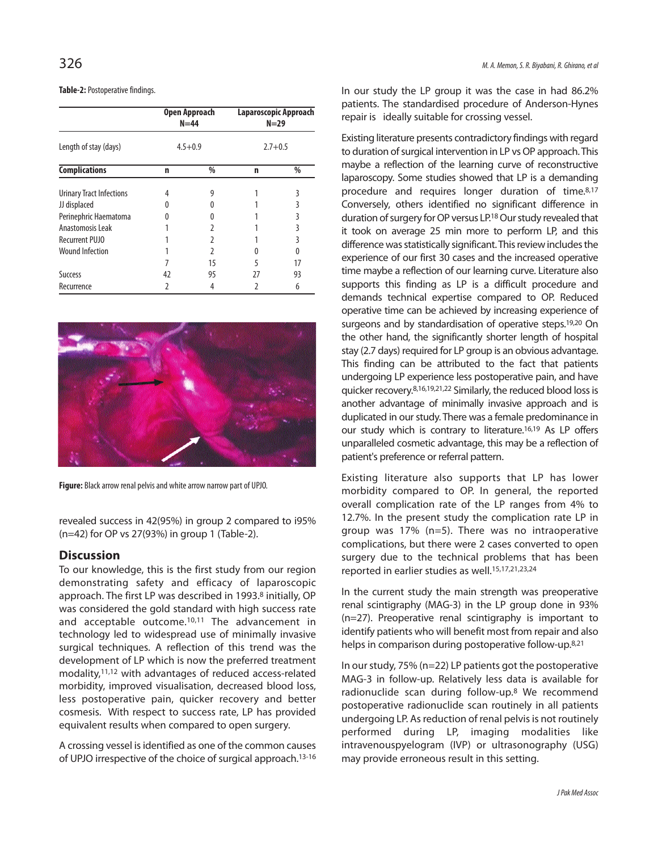#### **Table-2: Postoperative findings.**

|                          | Open Approach<br>$N = 44$<br>$4.5 + 0.9$ |               | Laparoscopic Approach<br>$N=29$<br>$2.7 + 0.5$ |    |
|--------------------------|------------------------------------------|---------------|------------------------------------------------|----|
| Length of stay (days)    |                                          |               |                                                |    |
| <b>Complications</b>     | n                                        | $\frac{0}{0}$ | n                                              | %  |
| Urinary Tract Infections | 4                                        | 9             |                                                | 3  |
| JJ displaced             | 0                                        |               |                                                | 3  |
| Perinephric Haematoma    |                                          |               |                                                | 3  |
| Anastomosis Leak         |                                          |               |                                                | 3  |
| <b>Recurrent PUJO</b>    |                                          |               |                                                | 3  |
| <b>Wound Infection</b>   |                                          | $\mathcal{L}$ |                                                | 0  |
|                          |                                          | 15            | 5                                              | 17 |
| Success                  | 42                                       | 95            | 27                                             | 93 |
| Recurrence               | 2                                        | 4             | 2                                              | 6  |



Figure: Black arrow renal pelvis and white arrow narrow part of UPJO.

revealed success in 42(95%) in group 2 compared to i95% (n=42) for OP vs 27(93%) in group 1 (Table-2).

#### **Discussion**

To our knowledge, this is the first study from our region demonstrating safety and efficacy of laparoscopic approach. The first LP was described in 1993. <sup>8</sup> initially, OP was considered the gold standard with high success rate and acceptable outcome. 10,11 The advancement in technology led to widespread use of minimally invasive surgical techniques. A reflection of this trend was the development of LP which is now the preferred treatment modality, 11,12 with advantages of reduced access-related morbidity, improved visualisation, decreased blood loss, less postoperative pain, quicker recovery and better cosmesis. With respect to success rate, LP has provided equivalent results when compared to open surgery.

A crossing vessel is identified as one of the common causes of UPJO irrespective of the choice of surgical approach. 13-16

In our study the LP group it was the case in had 86.2% patients. The standardised procedure of Anderson-Hynes repair is ideally suitable for crossing vessel.

Existing literature presents contradictory findings with regard to duration of surgical intervention in LP vs OP approach. This maybe a reflection of the learning curve of reconstructive laparoscopy. Some studies showed that LP is a demanding procedure and requires longer duration of time.<sup>8,17</sup> Conversely, others identified no significant difference in duration of surgery for OP versus LP.<sup>18</sup> Our study revealed that it took on average 25 min more to perform LP, and this difference was statistically significant. This review includes the experience of our first 30 cases and the increased operative time maybe a reflection of our learning curve. Literature also supports this finding as LP is a difficult procedure and demands technical expertise compared to OP. Reduced operative time can be achieved by increasing experience of surgeons and by standardisation of operative steps.<sup>19,20</sup> On the other hand, the significantly shorter length of hospital stay (2.7 days) required for LP group is an obvious advantage. This finding can be attributed to the fact that patients undergoing LP experience less postoperative pain, and have quicker recovery.<sup>8,16,19,21,22</sup> Similarly, the reduced blood loss is another advantage of minimally invasive approach and is duplicated in our study. There was a female predominance in our study which is contrary to literature.<sup>16,19</sup> As LP offers unparalleled cosmetic advantage, this may be a reflection of patient's preference or referral pattern.

Existing literature also supports that LP has lower morbidity compared to OP. In general, the reported overall complication rate of the LP ranges from 4% to 12.7%. In the present study the complication rate LP in group was 17% (n=5). There was no intraoperative complications, but there were 2 cases converted to open surgery due to the technical problems that has been reported in earlier studies as well. 15,17,21,23,24

In the current study the main strength was preoperative renal scintigraphy (MAG-3) in the LP group done in 93% (n=27). Preoperative renal scintigraphy is important to identify patients who will benefit most from repair and also helps in comparison during postoperative follow-up.<sup>8,21</sup>

In our study,  $75\%$  (n=22) LP patients got the postoperative MAG-3 in follow-up. Relatively less data is available for radionuclide scan during follow-up. <sup>8</sup> We recommend postoperative radionuclide scan routinely in all patients undergoing LP. As reduction of renal pelvis is not routinely performed during LP, imaging modalities like intravenouspyelogram (IVP) or ultrasonography (USG) may provide erroneous result in this setting.